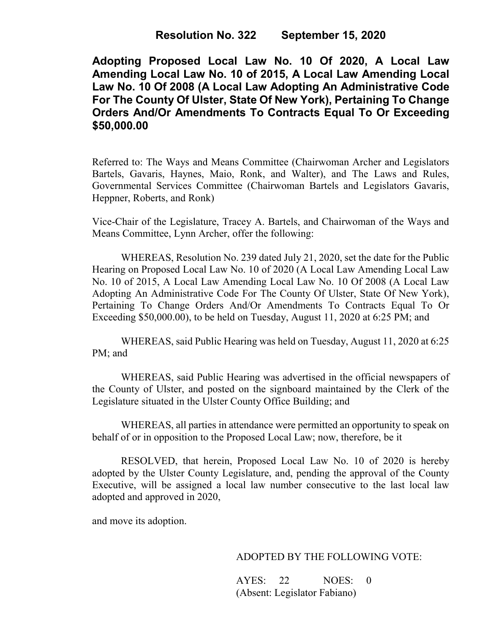**Adopting Proposed Local Law No. 10 Of 2020, A Local Law Amending Local Law No. 10 of 2015, A Local Law Amending Local Law No. 10 Of 2008 (A Local Law Adopting An Administrative Code For The County Of Ulster, State Of New York), Pertaining To Change Orders And/Or Amendments To Contracts Equal To Or Exceeding \$50,000.00**

Referred to: The Ways and Means Committee (Chairwoman Archer and Legislators Bartels, Gavaris, Haynes, Maio, Ronk, and Walter), and The Laws and Rules, Governmental Services Committee (Chairwoman Bartels and Legislators Gavaris, Heppner, Roberts, and Ronk)

Vice-Chair of the Legislature, Tracey A. Bartels, and Chairwoman of the Ways and Means Committee, Lynn Archer, offer the following:

WHEREAS, Resolution No. 239 dated July 21, 2020, set the date for the Public Hearing on Proposed Local Law No. 10 of 2020 (A Local Law Amending Local Law No. 10 of 2015, A Local Law Amending Local Law No. 10 Of 2008 (A Local Law Adopting An Administrative Code For The County Of Ulster, State Of New York), Pertaining To Change Orders And/Or Amendments To Contracts Equal To Or Exceeding \$50,000.00), to be held on Tuesday, August 11, 2020 at 6:25 PM; and

WHEREAS, said Public Hearing was held on Tuesday, August 11, 2020 at 6:25 PM; and

WHEREAS, said Public Hearing was advertised in the official newspapers of the County of Ulster, and posted on the signboard maintained by the Clerk of the Legislature situated in the Ulster County Office Building; and

WHEREAS, all parties in attendance were permitted an opportunity to speak on behalf of or in opposition to the Proposed Local Law; now, therefore, be it

RESOLVED, that herein, Proposed Local Law No. 10 of 2020 is hereby adopted by the Ulster County Legislature, and, pending the approval of the County Executive, will be assigned a local law number consecutive to the last local law adopted and approved in 2020,

and move its adoption.

## ADOPTED BY THE FOLLOWING VOTE:

AYES: 22 NOES: 0 (Absent: Legislator Fabiano)